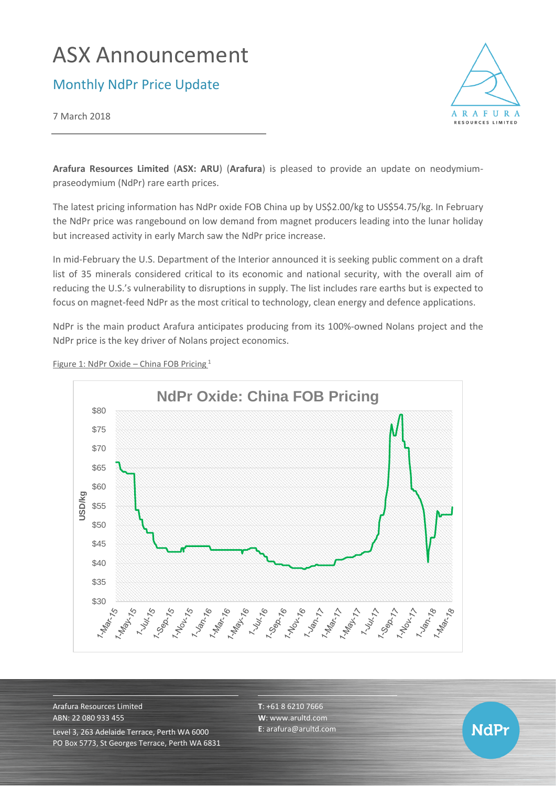# ASX Announcement

## Monthly NdPr Price Update

7 March 2018



**NdPr** 

**Arafura Resources Limited** (**ASX: ARU**) (**Arafura**) is pleased to provide an update on neodymiumpraseodymium (NdPr) rare earth prices.

The latest pricing information has NdPr oxide FOB China up by US\$2.00/kg to US\$54.75/kg. In February the NdPr price was rangebound on low demand from magnet producers leading into the lunar holiday but increased activity in early March saw the NdPr price increase.

In mid-February the U.S. Department of the Interior announced it is seeking public comment on a draft list of 35 minerals considered critical to its economic and national security, with the overall aim of reducing the U.S.'s vulnerability to disruptions in supply. The list includes rare earths but is expected to focus on magnet-feed NdPr as the most critical to technology, clean energy and defence applications.

NdPr is the main product Arafura anticipates producing from its 100%-owned Nolans project and the NdPr price is the key driver of Nolans project economics.



Figure 1: NdPr Oxide – China FOB Pricing <sup>1</sup>

Arafura Resources Limited ABN: 22 080 933 455 Level 3, 263 Adelaide Terrace, Perth WA 6000 PO Box 5773, St Georges Terrace, Perth WA 6831 **T**: +61 8 6210 7666 **W**: [www.arultd.com](http://www.arultd.com/) **E**[: arafura@arultd.com](mailto:arafura@arultd.com)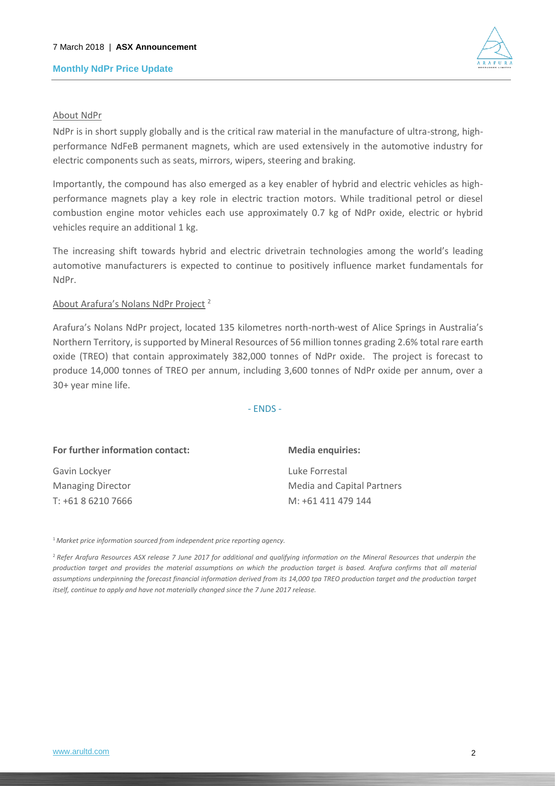#### **Monthly NdPr Price Update**



#### About NdPr

NdPr is in short supply globally and is the critical raw material in the manufacture of ultra-strong, highperformance NdFeB permanent magnets, which are used extensively in the automotive industry for electric components such as seats, mirrors, wipers, steering and braking.

Importantly, the compound has also emerged as a key enabler of hybrid and electric vehicles as highperformance magnets play a key role in electric traction motors. While traditional petrol or diesel combustion engine motor vehicles each use approximately 0.7 kg of NdPr oxide, electric or hybrid vehicles require an additional 1 kg.

The increasing shift towards hybrid and electric drivetrain technologies among the world's leading automotive manufacturers is expected to continue to positively influence market fundamentals for NdPr.

#### About Arafura's Nolans NdPr Project <sup>2</sup>

Arafura's Nolans NdPr project, located 135 kilometres north-north-west of Alice Springs in Australia's Northern Territory, is supported by Mineral Resources of 56 million tonnes grading 2.6% total rare earth oxide (TREO) that contain approximately 382,000 tonnes of NdPr oxide. The project is forecast to produce 14,000 tonnes of TREO per annum, including 3,600 tonnes of NdPr oxide per annum, over a 30+ year mine life.

- ENDS -

| For further information contact: | <b>Media enquiries:</b>           |
|----------------------------------|-----------------------------------|
| Gavin Lockyer                    | Luke Forrestal                    |
| <b>Managing Director</b>         | <b>Media and Capital Partners</b> |
| T: +61 8 6210 7666               | M: +61 411 479 144                |
|                                  |                                   |

<sup>1</sup>*Market price information sourced from independent price reporting agency.*

<sup>2</sup>*Refer Arafura Resources ASX release 7 June 2017 for additional and qualifying information on the Mineral Resources that underpin the production target and provides the material assumptions on which the production target is based. Arafura confirms that all material*  assumptions underpinning the forecast financial information derived from its 14,000 tpa TREO production target and the production target *itself, continue to apply and have not materially changed since the 7 June 2017 release.*